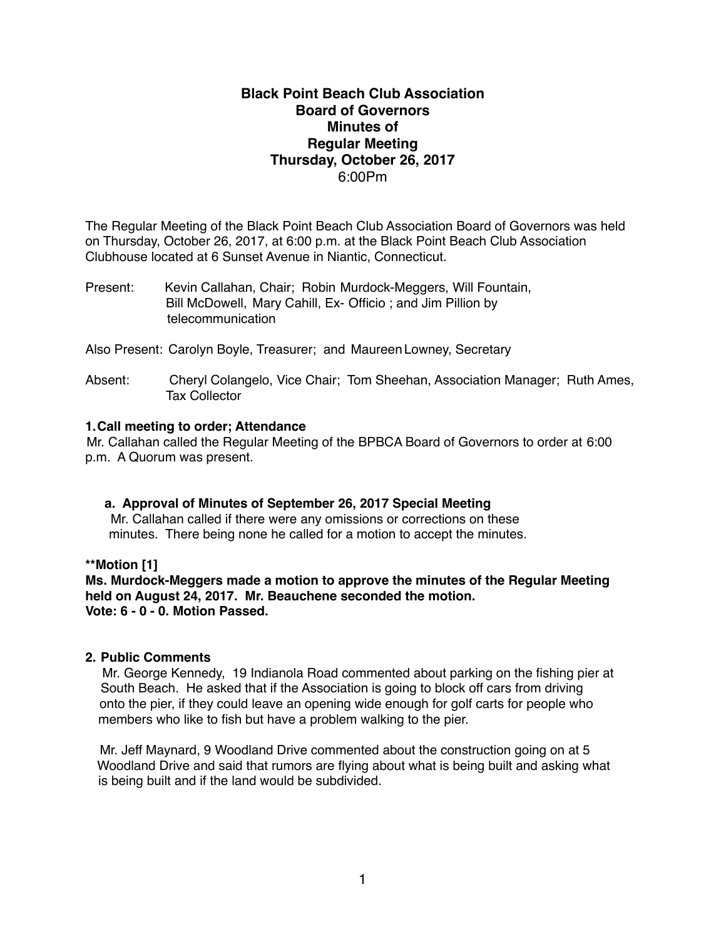# **Black Point Beach Club Association Board of Governors Minutes of Regular Meeting Thursday, October 26, 2017** 6:00Pm

The Regular Meeting of the Black Point Beach Club Association Board of Governors was held on Thursday, October 26, 2017, at 6:00 p.m. at the Black Point Beach Club Association Clubhouse located at 6 Sunset Avenue in Niantic, Connecticut.

Present: Kevin Callahan, Chair; Robin Murdock-Meggers, Will Fountain, Bill McDowell, Mary Cahill, Ex- Officio ; and Jim Pillion by telecommunication

Also Present: Carolyn Boyle, Treasurer; and Maureen Lowney, Secretary

Absent: Cheryl Colangelo, Vice Chair; Tom Sheehan, Association Manager; Ruth Ames, Tax Collector

### **1.Call meeting to order; Attendance**

Mr. Callahan called the Regular Meeting of the BPBCA Board of Governors to order at 6:00 p.m. A Quorum was present.

### **a. Approval of Minutes of September 26, 2017 Special Meeting**

Mr. Callahan called if there were any omissions or corrections on these minutes. There being none he called for a motion to accept the minutes.

### **\*\*Motion [1]**

**Ms. Murdock-Meggers made a motion to approve the minutes of the Regular Meeting held on August 24, 2017. Mr. Beauchene seconded the motion. Vote: 6 - 0 - 0. Motion Passed.**

### **2. Public Comments**

 Mr. George Kennedy, 19 Indianola Road commented about parking on the fishing pier at South Beach. He asked that if the Association is going to block off cars from driving onto the pier, if they could leave an opening wide enough for golf carts for people who members who like to fish but have a problem walking to the pier.

Mr. Jeff Maynard, 9 Woodland Drive commented about the construction going on at 5 Woodland Drive and said that rumors are flying about what is being built and asking what is being built and if the land would be subdivided.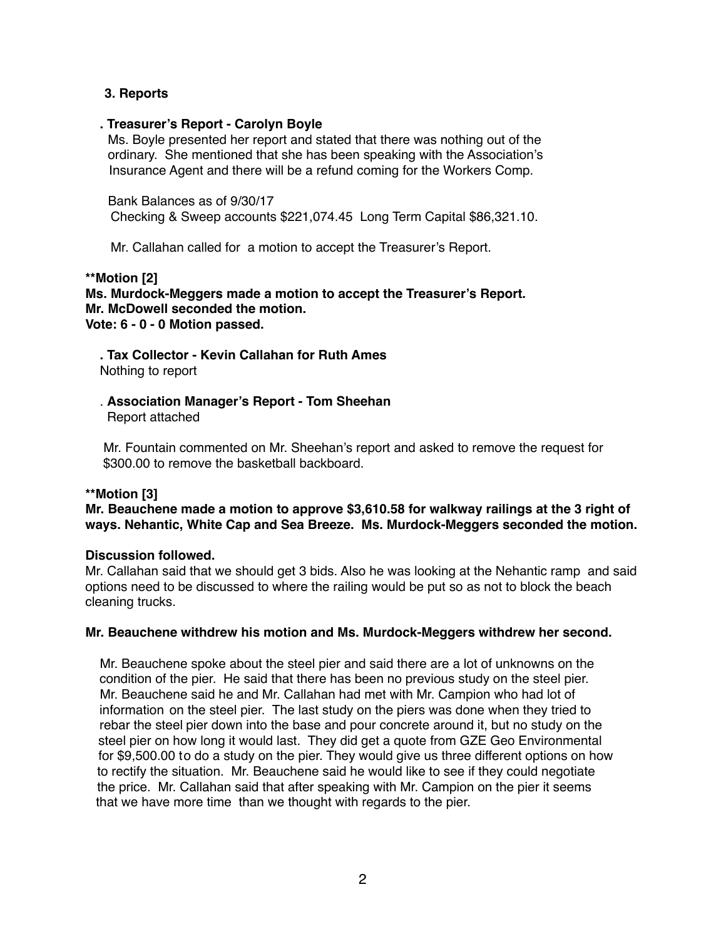# **3. Reports**

### **. Treasurer's Report - Carolyn Boyle**

Ms. Boyle presented her report and stated that there was nothing out of the ordinary. She mentioned that she has been speaking with the Association's Insurance Agent and there will be a refund coming for the Workers Comp.

Bank Balances as of 9/30/17

Checking & Sweep accounts \$221,074.45 Long Term Capital \$86,321.10.

Mr. Callahan called for a motion to accept the Treasurer's Report.

### **\*\*Motion [2]**

**Ms. Murdock-Meggers made a motion to accept the Treasurer's Report. Mr. McDowell seconded the motion. Vote: 6 - 0 - 0 Motion passed.**

 **. Tax Collector - Kevin Callahan for Ruth Ames** Nothing to report

 . **Association Manager's Report - Tom Sheehan** Report attached

 Mr. Fountain commented on Mr. Sheehan's report and asked to remove the request for \$300.00 to remove the basketball backboard.

### **\*\*Motion [3]**

# **Mr. Beauchene made a motion to approve \$3,610.58 for walkway railings at the 3 right of ways. Nehantic, White Cap and Sea Breeze. Ms. Murdock-Meggers seconded the motion.**

### **Discussion followed.**

Mr. Callahan said that we should get 3 bids. Also he was looking at the Nehantic ramp and said options need to be discussed to where the railing would be put so as not to block the beach cleaning trucks.

### **Mr. Beauchene withdrew his motion and Ms. Murdock-Meggers withdrew her second.**

Mr. Beauchene spoke about the steel pier and said there are a lot of unknowns on the condition of the pier. He said that there has been no previous study on the steel pier. Mr. Beauchene said he and Mr. Callahan had met with Mr. Campion who had lot of information on the steel pier. The last study on the piers was done when they tried to rebar the steel pier down into the base and pour concrete around it, but no study on the steel pier on how long it would last. They did get a quote from GZE Geo Environmental for \$9,500.00 to do a study on the pier. They would give us three different options on how to rectify the situation. Mr. Beauchene said he would like to see if they could negotiate the price. Mr. Callahan said that after speaking with Mr. Campion on the pier it seems that we have more time than we thought with regards to the pier.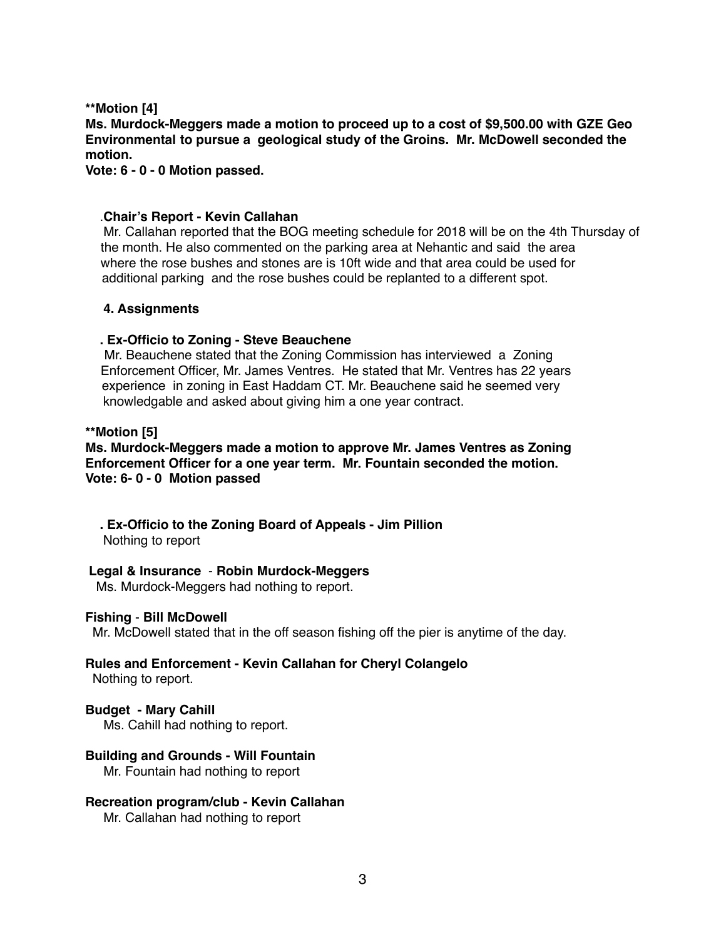# **\*\*Motion [4]**

**Ms. Murdock-Meggers made a motion to proceed up to a cost of \$9,500.00 with GZE Geo Environmental to pursue a geological study of the Groins. Mr. McDowell seconded the motion.**

**Vote: 6 - 0 - 0 Motion passed.**

# .**Chair's Report - Kevin Callahan**

Mr. Callahan reported that the BOG meeting schedule for 2018 will be on the 4th Thursday of the month. He also commented on the parking area at Nehantic and said the area where the rose bushes and stones are is 10ft wide and that area could be used for additional parking and the rose bushes could be replanted to a different spot.

# **4. Assignments**

# **. Ex-Officio to Zoning - Steve Beauchene**

 Mr. Beauchene stated that the Zoning Commission has interviewed a Zoning Enforcement Officer, Mr. James Ventres. He stated that Mr. Ventres has 22 years experience in zoning in East Haddam CT. Mr. Beauchene said he seemed very knowledgable and asked about giving him a one year contract.

# **\*\*Motion [5]**

# **Ms. Murdock-Meggers made a motion to approve Mr. James Ventres as Zoning Enforcement Officer for a one year term. Mr. Fountain seconded the motion. Vote: 6- 0 - 0 Motion passed**

# **. Ex-Officio to the Zoning Board of Appeals - Jim Pillion**

Nothing to report

# **Legal & Insurance** - **Robin Murdock-Meggers**

Ms. Murdock-Meggers had nothing to report.

### **Fishing** - **Bill McDowell**

Mr. McDowell stated that in the off season fishing off the pier is anytime of the day.

# **Rules and Enforcement - Kevin Callahan for Cheryl Colangelo**

Nothing to report.

# **Budget - Mary Cahill**

Ms. Cahill had nothing to report.

# **Building and Grounds - Will Fountain**

Mr. Fountain had nothing to report

### **Recreation program/club - Kevin Callahan**

Mr. Callahan had nothing to report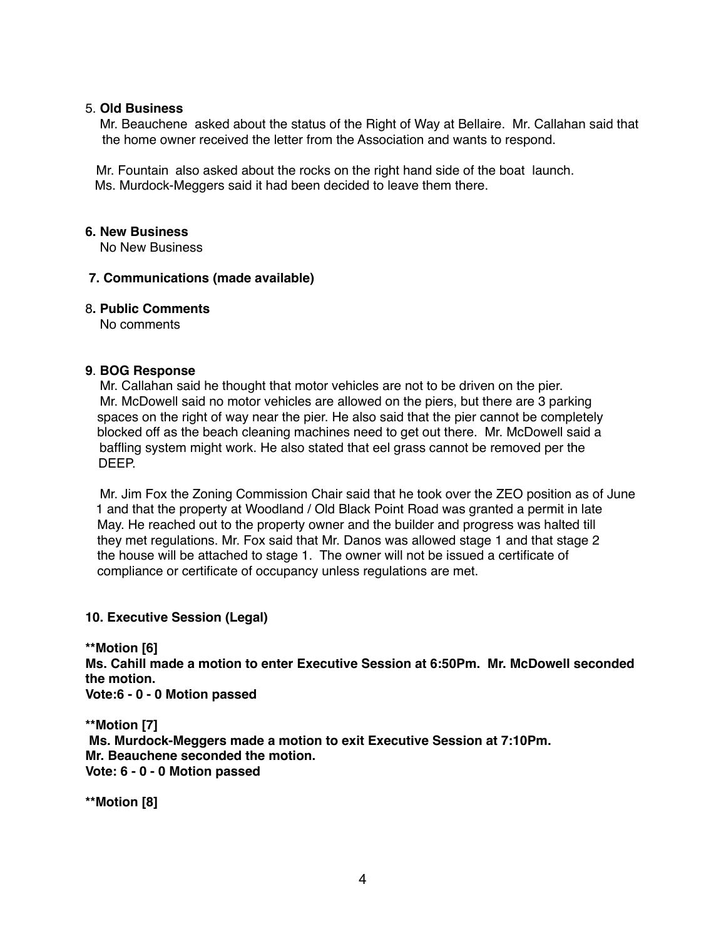### 5. **Old Business**

Mr. Beauchene asked about the status of the Right of Way at Bellaire. Mr. Callahan said that the home owner received the letter from the Association and wants to respond.

 Mr. Fountain also asked about the rocks on the right hand side of the boat launch. Ms. Murdock-Meggers said it had been decided to leave them there.

### **6. New Business**

No New Business

# **7. Communications (made available)**

### 8**. Public Comments**

No comments

# **9**. **BOG Response**

 Mr. Callahan said he thought that motor vehicles are not to be driven on the pier. Mr. McDowell said no motor vehicles are allowed on the piers, but there are 3 parking spaces on the right of way near the pier. He also said that the pier cannot be completely blocked off as the beach cleaning machines need to get out there. Mr. McDowell said a baffling system might work. He also stated that eel grass cannot be removed per the DEEP.

 Mr. Jim Fox the Zoning Commission Chair said that he took over the ZEO position as of June 1 and that the property at Woodland / Old Black Point Road was granted a permit in late May. He reached out to the property owner and the builder and progress was halted till they met regulations. Mr. Fox said that Mr. Danos was allowed stage 1 and that stage 2 the house will be attached to stage 1. The owner will not be issued a certificate of compliance or certificate of occupancy unless regulations are met.

### **10. Executive Session (Legal)**

**\*\*Motion [6] Ms. Cahill made a motion to enter Executive Session at 6:50Pm. Mr. McDowell seconded the motion. Vote:6 - 0 - 0 Motion passed**

**\*\*Motion [7] Ms. Murdock-Meggers made a motion to exit Executive Session at 7:10Pm. Mr. Beauchene seconded the motion. Vote: 6 - 0 - 0 Motion passed**

**\*\*Motion [8]**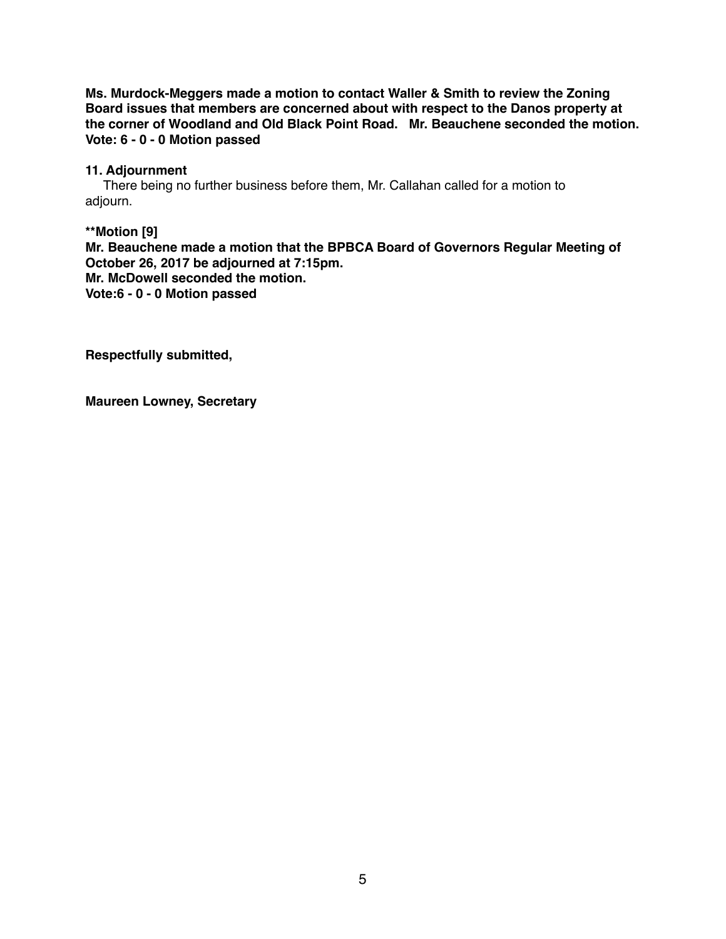**Ms. Murdock-Meggers made a motion to contact Waller & Smith to review the Zoning Board issues that members are concerned about with respect to the Danos property at the corner of Woodland and Old Black Point Road. Mr. Beauchene seconded the motion. Vote: 6 - 0 - 0 Motion passed**

# **11. Adjournment**

There being no further business before them, Mr. Callahan called for a motion to adjourn.

**\*\*Motion [9] Mr. Beauchene made a motion that the BPBCA Board of Governors Regular Meeting of October 26, 2017 be adjourned at 7:15pm. Mr. McDowell seconded the motion. Vote:6 - 0 - 0 Motion passed**

**Respectfully submitted,**

**Maureen Lowney, Secretary**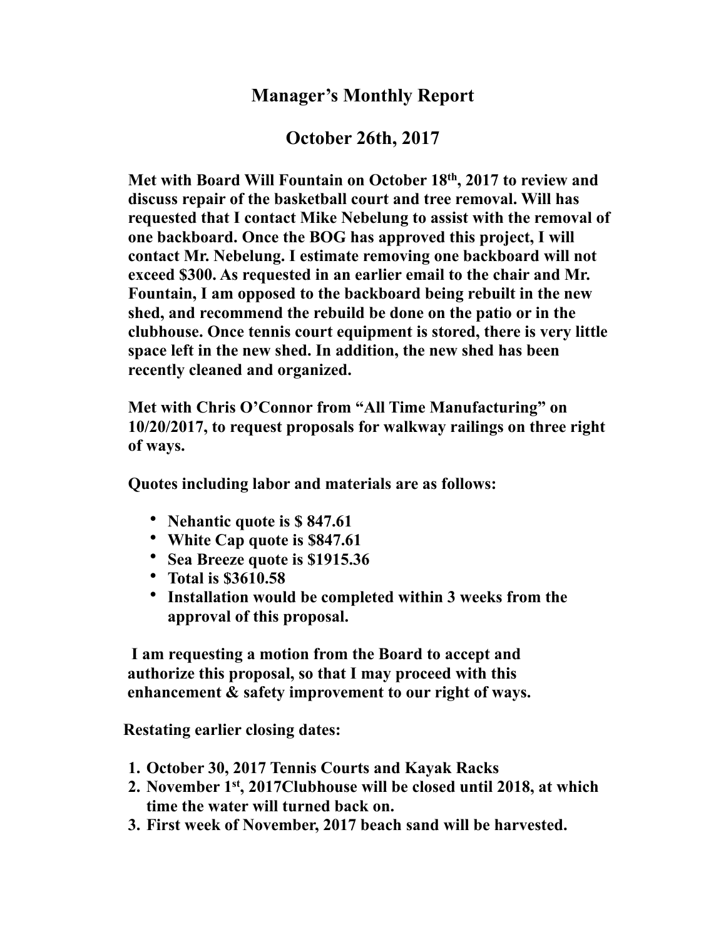# **Manager's Monthly Report**

# **October 26th, 2017**

**Met with Board Will Fountain on October 18th, 2017 to review and discuss repair of the basketball court and tree removal. Will has requested that I contact Mike Nebelung to assist with the removal of one backboard. Once the BOG has approved this project, I will contact Mr. Nebelung. I estimate removing one backboard will not exceed \$300. As requested in an earlier email to the chair and Mr. Fountain, I am opposed to the backboard being rebuilt in the new shed, and recommend the rebuild be done on the patio or in the clubhouse. Once tennis court equipment is stored, there is very little space left in the new shed. In addition, the new shed has been recently cleaned and organized.**

**Met with Chris O'Connor from "All Time Manufacturing" on 10/20/2017, to request proposals for walkway railings on three right of ways.**

**Quotes including labor and materials are as follows:**

- **Nehantic quote is \$ 847.61**
- **White Cap quote is \$847.61**
- **Sea Breeze quote is \$1915.36**
- **Total is \$3610.58**
- **Installation would be completed within 3 weeks from the approval of this proposal.**

 **I am requesting a motion from the Board to accept and authorize this proposal, so that I may proceed with this enhancement & safety improvement to our right of ways.**

 **Restating earlier closing dates:**

- **1. October 30, 2017 Tennis Courts and Kayak Racks**
- **2. November 1st, 2017Clubhouse will be closed until 2018, at which time the water will turned back on.**
- **3. First week of November, 2017 beach sand will be harvested.**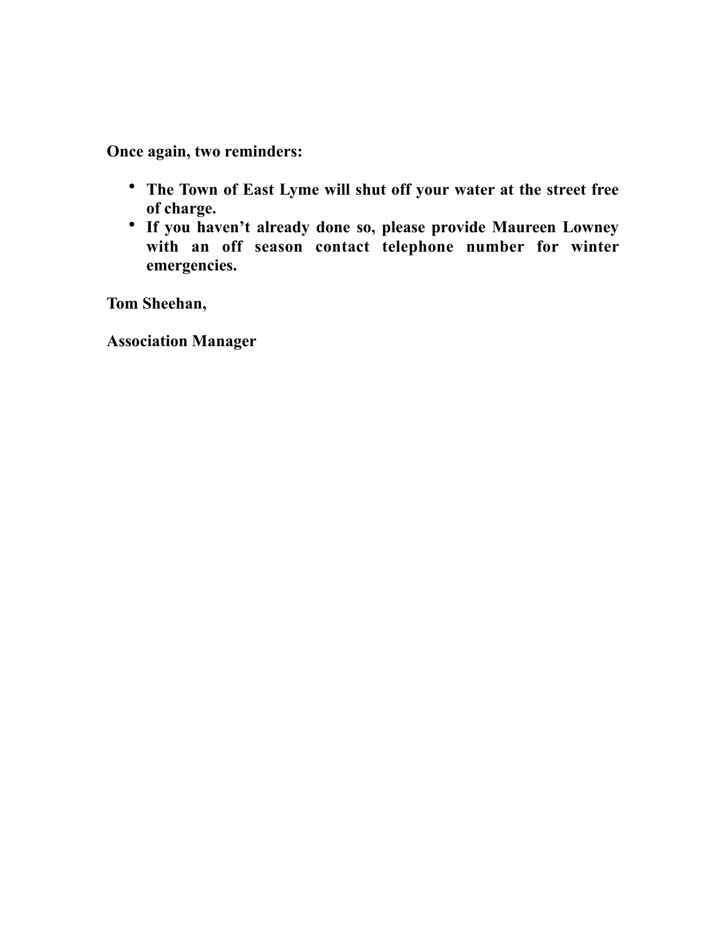**Once again, two reminders:**

- **The Town of East Lyme will shut off your water at the street free of charge.**
- **If you haven't already done so, please provide Maureen Lowney with an off season contact telephone number for winter emergencies.**

**Tom Sheehan,**

**Association Manager**